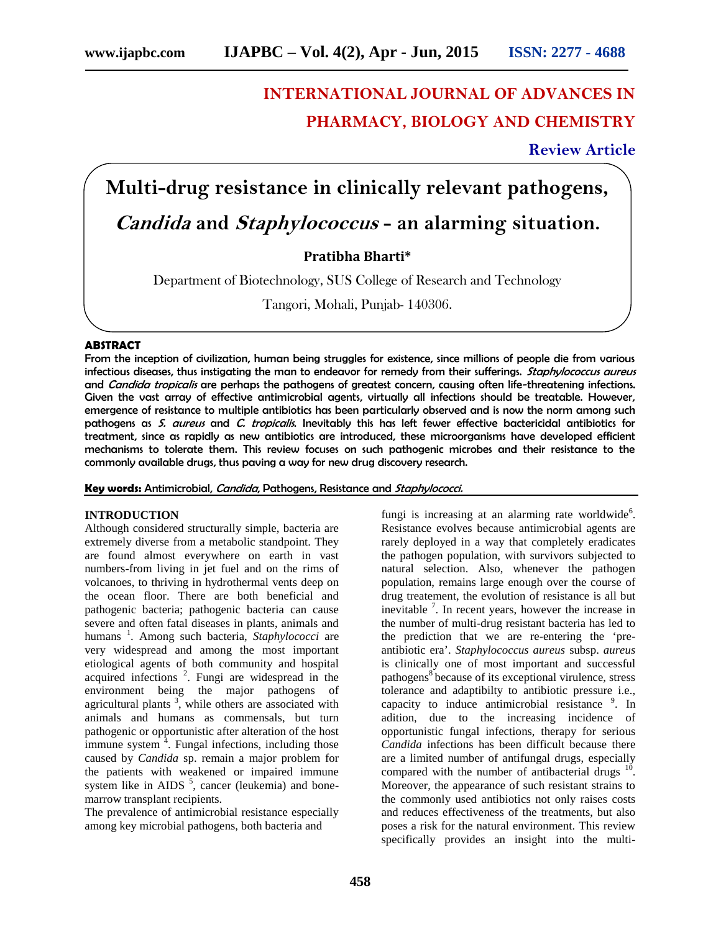## **INTERNATIONAL JOURNAL OF ADVANCES IN PHARMACY, BIOLOGY AND CHEMISTRY**

**Review Article**

# **Multi-drug resistance in clinically relevant pathogens,**

### *Candida* **and** *Staphylococcus* **- an alarming situation.**

**Pratibha Bharti\***

Department of Biotechnology, SUS College of Research and Technology

Tangori, Mohali, Punjab- 140306.

#### **ABSTRACT**

From the inception of civilization, human being struggles for existence, since millions of people die from various infectious diseases, thus instigating the man to endeavor for remedy from their sufferings. *Staphylococcus aureus* and *Candida tropicalis* are perhaps the pathogens of greatest concern, causing often life-threatening infections. Given the vast array of effective antimicrobial agents, virtually all infections should be treatable. However, emergence of resistance to multiple antibiotics has been particularly observed and is now the norm among such pathogens as *S. aureus* and *C. tropicalis*. Inevitably this has left fewer effective bactericidal antibiotics for treatment, since as rapidly as new antibiotics are introduced, these microorganisms have developed efficient mechanisms to tolerate them. This review focuses on such pathogenic microbes and their resistance to the commonly available drugs, thus paving a way for new drug discovery research.

**Key words:** Antimicrobial, *Candida*, Pathogens, Resistance and *Staphylococci.*

#### **INTRODUCTION**

Although considered structurally simple, bacteria are extremely diverse from a metabolic standpoint. They are found almost everywhere on earth in vast numbers-from living in jet fuel and on the rims of volcanoes, to thriving in hydrothermal vents deep on the ocean floor. There are both beneficial and pathogenic bacteria; pathogenic bacteria can cause severe and often fatal diseases in plants, animals and humans<sup>1</sup>. Among such bacteria, *Staphylococci* are very widespread and among the most important etiological agents of both community and hospital acquired infections<sup>2</sup>. Fungi are widespread in the environment being the major pathogens of agricultural plants  $\frac{3}{2}$ , while others are associated with animals and humans as commensals, but turn pathogenic or opportunistic after alteration of the host immune system  $\frac{1}{4}$ . Fungal infections, including those caused by *Candida* sp. remain a major problem for the patients with weakened or impaired immune system like in AIDS  $<sup>5</sup>$ , cancer (leukemia) and bone-</sup> marrow transplant recipients.

The prevalence of antimicrobial resistance especially among key microbial pathogens, both bacteria and

fungi is increasing at an alarming rate worldwide<sup>6</sup>. Resistance evolves because antimicrobial agents are rarely deployed in a way that completely eradicates the pathogen population, with survivors subjected to natural selection. Also, whenever the pathogen population, remains large enough over the course of drug treatement, the evolution of resistance is all but inevitable <sup>7</sup>. In recent years, however the increase in the number of multi-drug resistant bacteria has led to the prediction that we are re-entering the 'pre antibiotic era'. *Staphylococcus aureus* subsp. *aureus* is clinically one of most important and successful pathogens<sup>8</sup> because of its exceptional virulence, stress tolerance and adaptibilty to antibiotic pressure i.e., capacity to induce antimicrobial resistance  $9$ . In adition, due to the increasing incidence of opportunistic fungal infections, therapy for serious *Candida* infections has been difficult because there are a limited number of antifungal drugs, especially compared with the number of antibacterial drugs  $10$ . Moreover, the appearance of such resistant strains to the commonly used antibiotics not only raises costs and reduces effectiveness of the treatments, but also poses a risk for the natural environment. This review specifically provides an insight into the multi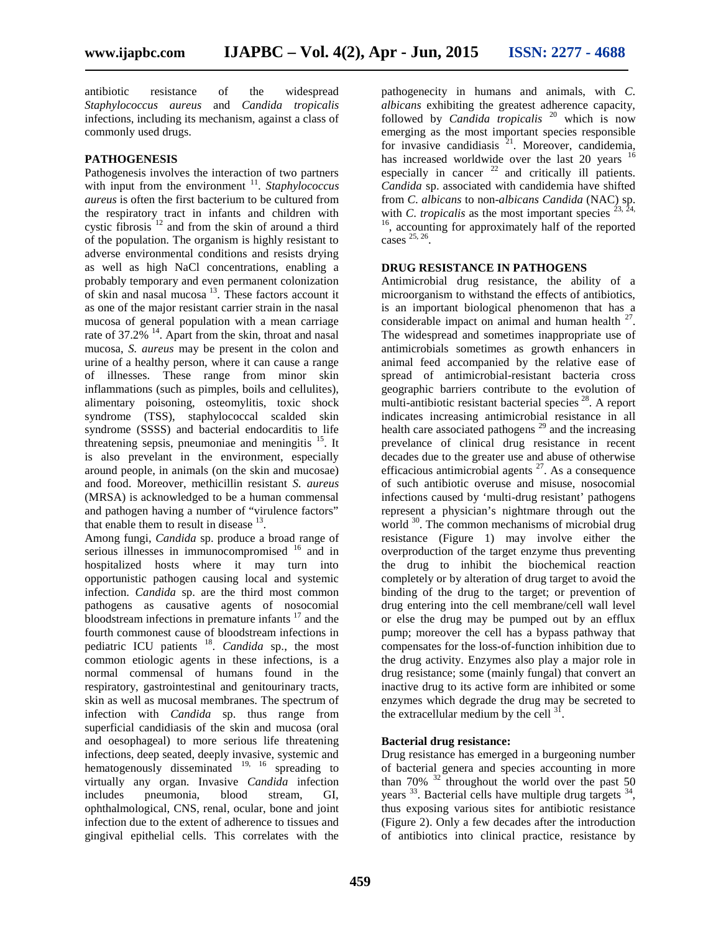antibiotic resistance of the widespread *Staphylococcus aureus* and *Candida tropicalis* infections, including its mechanism, against a class of commonly used drugs.

#### **PATHOGENESIS**

Pathogenesis involves the interaction of two partners with input from the environment <sup>11</sup>. Staphylococcus *aureus* is often the first bacterium to be cultured from  $\sum$  from  $C$ . *albicans* to non-*albicans* Candida (NAC) the respiratory tract in infants and children with  $\sum$  tropicalis as the most important species  $2^2$ the respiratory tract in infants and children with cystic fibrosis <sup>12</sup> and from the skin of around a third of the population. The organism is highly resistant to adverse environmental conditions and resists drying as well as high NaCl concentrations, enabling a probably temporary and even permanent colonization of skin and nasal mucosa  $13$ . These factors account it as one of the major resistant carrier strain in the nasal mucosa of general population with a mean carriage rate of  $37.2\%$  <sup>14</sup>. Apart from the skin, throat and nasal mucosa, *S. aureus* may be present in the colon and urine of a healthy person, where it can cause a range of illnesses. These range from minor skin inflammations (such as pimples, boils and cellulites), alimentary poisoning, osteomylitis, toxic shock syndrome (TSS), staphylococcal scalded skin syndrome (SSSS) and bacterial endocarditis to life threatening sepsis, pneumoniae and meningitis  $15$ . It is also prevelant in the environment, especially around people, in animals (on the skin and mucosae) and food. Moreover, methicillin resistant *S. aureus* (MRSA) is acknowledged to be a human commensal and pathogen having a number of "virulence factors" that enable them to result in disease  $^{13}$ .

Among fungi, *Candida* sp. produce a broad range of serious illnesses in immunocompromised <sup>16</sup> and in hospitalized hosts where it may turn into opportunistic pathogen causing local and systemic infection. *Candida* sp. are the third most common pathogens as causative agents of nosocomial bloodstream infections in premature infants  $17$  and the fourth commonest cause of bloodstream infections in pediatric ICU patients <sup>18</sup> . *Candida* sp., the most common etiologic agents in these infections, is a normal commensal of humans found in the respiratory, gastrointestinal and genitourinary tracts, skin as well as mucosal membranes. The spectrum of infection with *Candida* sp. thus range from superficial candidiasis of the skin and mucosa (oral and oesophageal) to more serious life threatening infections, deep seated, deeply invasive, systemic and hematogenously disseminated  $^{19, 16}$  spreading to virtually any organ. Invasive *Candida* infection includes pneumonia, blood stream, GI, ophthalmological, CNS, renal, ocular, bone and joint infection due to the extent of adherence to tissues and gingival epithelial cells. This correlates with the

pathogenecity in humans and animals, with *C*. *albicans* exhibiting the greatest adherence capacity, followed by *Candida tropicalis* <sup>20</sup> which is now emerging as the most important species responsible for invasive candidiasis  $2^1$ . Moreover, candidemia, has increased worldwide over the last 20 years <sup>16</sup> especially in cancer  $22$  and critically ill patients. *Candida* sp. associated with candidemia have shifted from *C*. *albicans* to non-*albicans Candida* (NAC) sp. <sup>16</sup>, accounting for approximately half of the reported cases 25, 26 .

#### **DRUG RESISTANCE IN PATHOGENS**

Antimicrobial drug resistance, the ability of a microorganism to withstand the effects of antibiotics, is an important biological phenomenon that has a considerable impact on animal and human health  $27$ . The widespread and sometimes inappropriate use of antimicrobials sometimes as growth enhancers in animal feed accompanied by the relative ease of spread of antimicrobial-resistant bacteria cross geographic barriers contribute to the evolution of multi-antibiotic resistant bacterial species <sup>28</sup>. A report indicates increasing antimicrobial resistance in all health care associated pathogens  $^{29}$  and the increasing prevelance of clinical drug resistance in recent decades due to the greater use and abuse of otherwise efficacious antimicrobial agents  $27$ . As a consequence of such antibiotic overuse and misuse, nosocomial infections caused by 'multi-drug resistant' pathogens represent a physician's nightmare through out the world <sup>30</sup>. The common mechanisms of microbial drug resistance (Figure 1) may involve either the overproduction of the target enzyme thus preventing the drug to inhibit the biochemical reaction completely or by alteration of drug target to avoid the binding of the drug to the target; or prevention of drug entering into the cell membrane/cell wall level or else the drug may be pumped out by an efflux pump; moreover the cell has a bypass pathway that compensates for the loss-of-function inhibition due to the drug activity. Enzymes also play a major role in drug resistance; some (mainly fungal) that convert an inactive drug to its active form are inhibited or some enzymes which degrade the drug may be secreted to the extracellular medium by the cell  $31$ . .

#### **Bacterial drug resistance:**

Drug resistance has emerged in a burgeoning number of bacterial genera and species accounting in more than  $70\%$  <sup>32</sup> throughout the world over the past 50 years <sup>33</sup>. Bacterial cells have multiple drug targets <sup>34</sup>, thus exposing various sites for antibiotic resistance (Figure 2). Only a few decades after the introduction of antibiotics into clinical practice, resistance by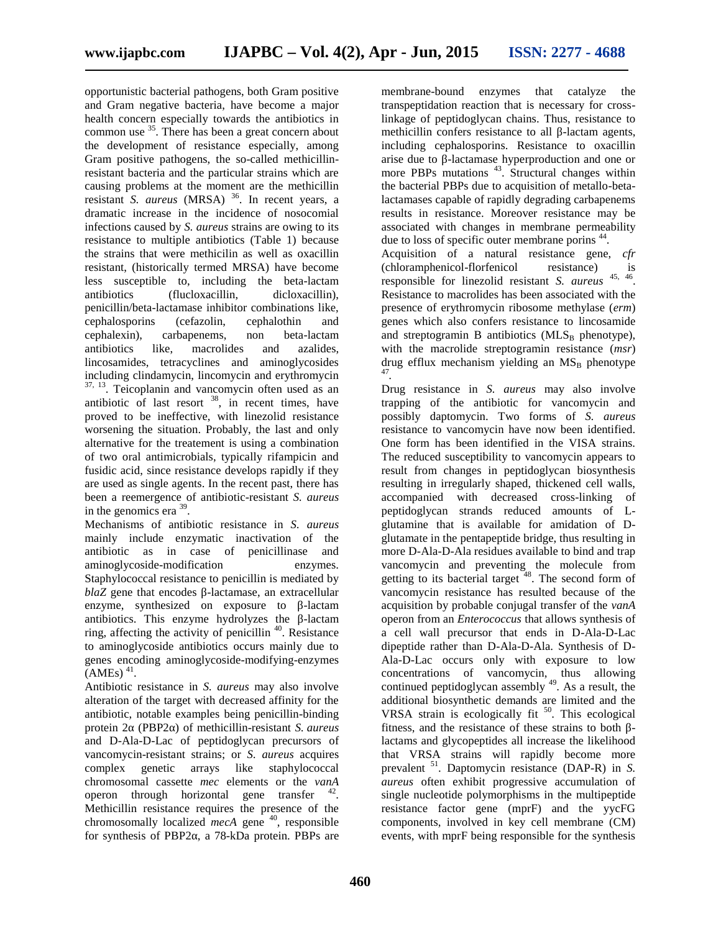opportunistic bacterial pathogens, both Gram positive and Gram negative bacteria, have become a major health concern especially towards the antibiotics in common use <sup>35</sup>. There has been a great concern about the development of resistance especially, among Gram positive pathogens, the so-called methicillinresistant bacteria and the particular strains which are causing problems at the moment are the methicillin resistant *S. aureus* (MRSA) <sup>36</sup>. In recent years, a dramatic increase in the incidence of nosocomial infections caused by *S. aureus* strains are owing to its resistance to multiple antibiotics (Table 1) because the strains that were methicilin as well as oxacillin resistant, (historically termed MRSA) have become less susceptible to, including the beta-lactam antibiotics (flucloxacillin, dicloxacillin), penicillin/beta-lactamase inhibitor combinations like, cephalosporins (cefazolin, cephalothin and cephalexin), carbapenems, non beta-lactam antibiotics like, macrolides and azalides, lincosamides, tetracyclines and aminoglycosides including clindamycin, lincomycin and erythromycin 37, 13. Teicoplanin and vancomycin often used as an antibiotic of last resort  $38$ , in recent times, have proved to be ineffective, with linezolid resistance worsening the situation. Probably, the last and only alternative for the treatement is using a combination of two oral antimicrobials, typically rifampicin and fusidic acid, since resistance develops rapidly if they are used as single agents. In the recent past, there has been a reemergence of antibiotic-resistant *S. aureus* in the genomics era  $39$ .

Mechanisms of antibiotic resistance in *S. aureus* mainly include enzymatic inactivation of the antibiotic as in case of penicillinase and aminoglycoside-modification enzymes. Staphylococcal resistance to penicillin is mediated by *blaZ* gene that encodes -lactamase, an extracellular enzyme, synthesized on exposure to -lactam antibiotics. This enzyme hydrolyzes the -lactam ring, affecting the activity of penicillin  $40$ . Resistance to aminoglycoside antibiotics occurs mainly due to genes encoding aminoglycoside-modifying-enzymes  $(AMEs)$ <sup>41</sup>.

Antibiotic resistance in *S. aureus* may also involve alteration of the target with decreased affinity for the antibiotic, notable examples being penicillin-binding protein 2 (PBP2 ) of methicillin-resistant *S. aureus* and D-Ala-D-Lac of peptidoglycan precursors of vancomycin-resistant strains; or *S. aureus* acquires complex genetic arrays like staphylococcal chromosomal cassette *mec* elements or the *vanA* operon through horizontal gene transfer  $42$ . Methicillin resistance requires the presence of the chromosomally localized *mecA* gene <sup>40</sup>, responsible for synthesis of PBP2 , a 78-kDa protein. PBPs are

membrane-bound enzymes that catalyze the transpeptidation reaction that is necessary for crosslinkage of peptidoglycan chains. Thus, resistance to methicillin confers resistance to all -lactam agents, including cephalosporins. Resistance to oxacillin arise due to -lactamase hyperproduction and one or more PBPs mutations <sup>43</sup>. Structural changes within the bacterial PBPs due to acquisition of metallo-betalactamases capable of rapidly degrading carbapenems results in resistance. Moreover resistance may be associated with changes in membrane permeability due to loss of specific outer membrane porins<sup>44</sup>.

Acquisition of a natural resistance gene, *cfr* (chloramphenicol-florfenicol resistance) is<br>responsible for linezolid resistant  $S$  *cureus*  $45, 46$ responsible for linezolid resistant *S. aureus* . Resistance to macrolides has been associated with the presence of erythromycin ribosome methylase (*erm*) genes which also confers resistance to lincosamide and streptogramin B antibiotics  $(MLS_B)$  phenotype), with the macrolide streptogramin resistance (*msr*) drug efflux mechanism yielding an  $MS_B$  phenotype 47 *.*

Drug resistance in *S. aureus* may also involve trapping of the antibiotic for vancomycin and possibly daptomycin. Two forms of *S. aureus* resistance to vancomycin have now been identified. One form has been identified in the VISA strains. The reduced susceptibility to vancomycin appears to result from changes in peptidoglycan biosynthesis resulting in irregularly shaped, thickened cell walls, accompanied with decreased cross-linking of peptidoglycan strands reduced amounts of L glutamine that is available for amidation of D glutamate in the pentapeptide bridge, thus resulting in more D-Ala-D-Ala residues available to bind and trap vancomycin and preventing the molecule from getting to its bacterial target  $48$ . The second form of vancomycin resistance has resulted because of the acquisition by probable conjugal transfer of the *vanA* operon from an *Enterococcus* that allows synthesis of a cell wall precursor that ends in D-Ala-D-Lac dipeptide rather than D-Ala-D-Ala. Synthesis of D- Ala-D-Lac occurs only with exposure to low concentrations of vancomycin, thus allowing continued peptidoglycan assembly <sup>49</sup>. As a result, the additional biosynthetic demands are limited and the VRSA strain is ecologically fit  $50$ . This ecological fitness, and the resistance of these strains to both lactams and glycopeptides all increase the likelihood that VRSA strains will rapidly become more prevalent <sup>51</sup>. Daptomycin resistance (DAP-R) in *S. aureus* often exhibit progressive accumulation of single nucleotide polymorphisms in the multipeptide resistance factor gene (mprF) and the yycFG components, involved in key cell membrane (CM) events, with mprF being responsible for the synthesis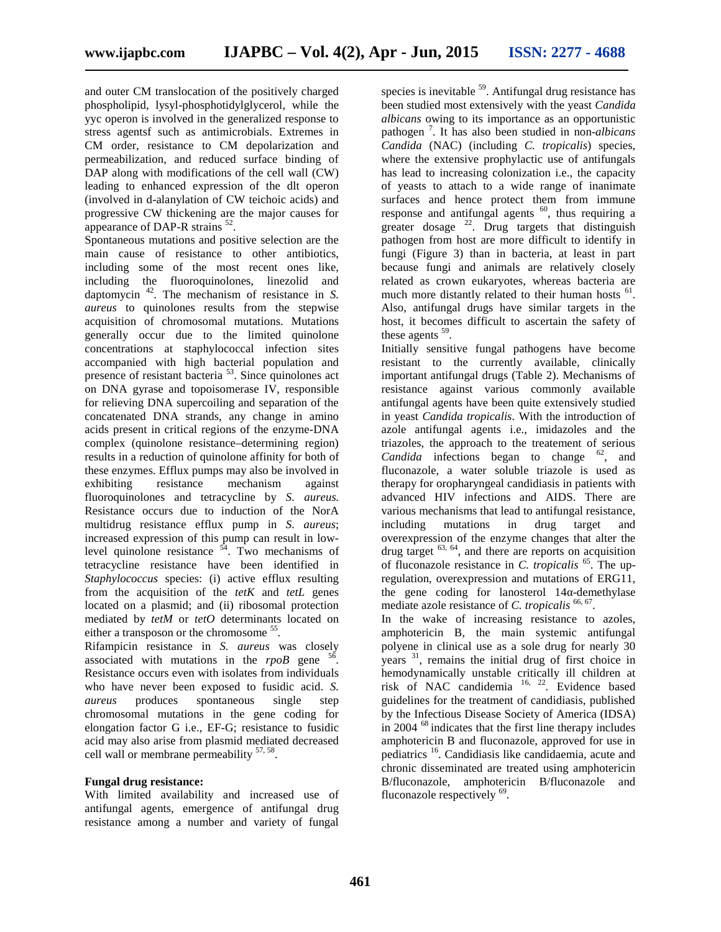and outer CM translocation of the positively charged phospholipid, lysyl-phosphotidylglycerol, while the yyc operon is involved in the generalized response to stress agentsf such as antimicrobials. Extremes in CM order, resistance to CM depolarization and permeabilization, and reduced surface binding of DAP along with modifications of the cell wall (CW) leading to enhanced expression of the dlt operon (involved in d-alanylation of CW teichoic acids) and progressive CW thickening are the major causes for appearance of DAP-R strains  $52$ .

Spontaneous mutations and positive selection are the main cause of resistance to other antibiotics, including some of the most recent ones like, including the fluoroquinolones, linezolid and daptomycin <sup>42</sup>. The mechanism of resistance in *S. aureus* to quinolones results from the stepwise acquisition of chromosomal mutations. Mutations generally occur due to the limited quinolone concentrations at staphylococcal infection sites accompanied with high bacterial population and presence of resistant bacteria<sup>53</sup>. Since quinolones act on DNA gyrase and topoisomerase IV, responsible for relieving DNA supercoiling and separation of the concatenated DNA strands, any change in amino acids present in critical regions of the enzyme-DNA complex (quinolone resistance–determining region) results in a reduction of quinolone affinity for both of these enzymes. Efflux pumps may also be involved in exhibiting resistance mechanism against fluoroquinolones and tetracycline by *S. aureus.* Resistance occurs due to induction of the NorA multidrug resistance efflux pump in *S. aureus*; increased expression of this pump can result in lowlevel quinolone resistance  $54$ . Two mechanisms of tetracycline resistance have been identified in *Staphylococcus* species: (i) active efflux resulting from the acquisition of the *tetK* and *tetL* genes located on a plasmid; and (ii) ribosomal protection mediated by *tetM* or *tetO* determinants located on either a transposon or the chromosome <sup>55</sup>.

Rifampicin resistance in *S. aureus* was closely associated with mutations in the  $rpoB$  gene<sup>5</sup> . Resistance occurs even with isolates from individuals who have never been exposed to fusidic acid. *S. aureus* produces spontaneous single step chromosomal mutations in the gene coding for elongation factor G i.e., EF-G; resistance to fusidic acid may also arise from plasmid mediated decreased cell wall or membrane permeability  $57,58$ .

#### **Fungal drug resistance:**

With limited availability and increased use of antifungal agents, emergence of antifungal drug resistance among a number and variety of fungal

species is inevitable <sup>59</sup>. Antifungal drug resistance has been studied most extensively with the yeast *Candida albicans* owing to its importance as an opportunistic pathogen <sup>7</sup> . It has also been studied in non-*albicans Candida* (NAC) (including *C. tropicalis*) species, where the extensive prophylactic use of antifungals has lead to increasing colonization i.e., the capacity of yeasts to attach to a wide range of inanimate surfaces and hence protect them from immune response and antifungal agents  $60$ , thus requiring a greater dosage  $^{22}$ . Drug targets that distinguish pathogen from host are more difficult to identify in fungi (Figure 3) than in bacteria, at least in part because fungi and animals are relatively closely related as crown eukaryotes, whereas bacteria are much more distantly related to their human hosts <sup>61</sup>. Also, antifungal drugs have similar targets in the host, it becomes difficult to ascertain the safety of these agents  $59$ .

Initially sensitive fungal pathogens have become resistant to the currently available, clinically important antifungal drugs (Table 2). Mechanisms of resistance against various commonly available antifungal agents have been quite extensively studied in yeast *Candida tropicalis*. With the introduction of azole antifungal agents i.e., imidazoles and the triazoles, the approach to the treatement of serious *Candida* infections began to change  $^{62}$ , and fluconazole, a water soluble triazole is used as therapy for oropharyngeal candidiasis in patients with advanced HIV infections and AIDS. There are various mechanisms that lead to antifungal resistance, including mutations in drug target and overexpression of the enzyme changes that alter the drug target  $^{63, 64}$ , and there are reports on acquisition of fluconazole resistance in *C. tropicalis* <sup>65</sup>. The upregulation, overexpression and mutations of ERG11, the gene coding for lanosterol 14 -demethylase mediate azole resistance of *C. tropicalis* <sup>66, 67</sup>.

In the wake of increasing resistance to azoles, amphotericin B, the main systemic antifungal polyene in clinical use as a sole drug for nearly 30 years <sup>31</sup>, remains the initial drug of first choice in hemodynamically unstable critically ill children at risk of NAC candidemia 16, 22. Evidence based guidelines for the treatment of candidiasis, published by the Infectious Disease Society of America (IDSA) in 2004 <sup>68</sup> indicates that the first line therapy includes amphotericin B and fluconazole, approved for use in pediatrics <sup>16</sup>. Candidiasis like candidaemia, acute and chronic disseminated are treated using amphotericin B/fluconazole, amphotericin B/fluconazole and fluconazole respectively <sup>69</sup>.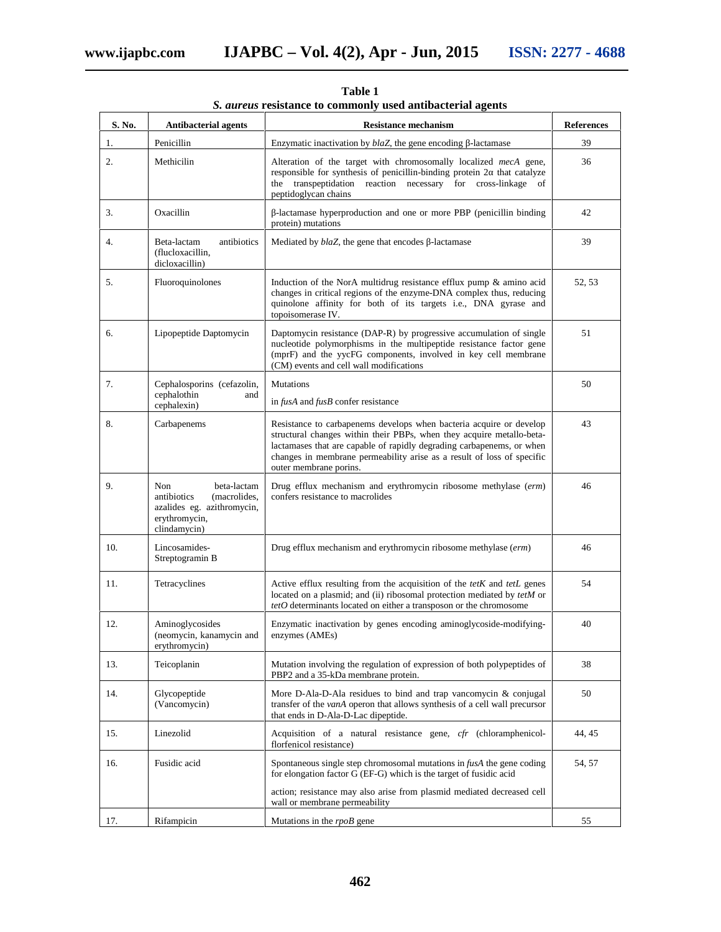| S. No. | <b>Antibacterial agents</b>                                                                                      | <b>Resistance mechanism</b>                                                                                                                                                                                                                                                                                               | <b>References</b> |
|--------|------------------------------------------------------------------------------------------------------------------|---------------------------------------------------------------------------------------------------------------------------------------------------------------------------------------------------------------------------------------------------------------------------------------------------------------------------|-------------------|
| 1.     | Penicillin                                                                                                       | Enzymatic inactivation by <i>blaZ</i> , the gene encoding -lactamase                                                                                                                                                                                                                                                      | 39                |
| 2.     | Methicilin                                                                                                       | Alteration of the target with chromosomally localized <i>mecA</i> gene,<br>responsible for synthesis of penicillin-binding protein 2 that catalyze<br>the transpeptidation reaction necessary for cross-linkage of<br>peptidoglycan chains                                                                                | 36                |
| 3.     | Oxacillin                                                                                                        | -lactamase hyperproduction and one or more PBP (penicillin binding<br>protein) mutations                                                                                                                                                                                                                                  | 42                |
| 4.     | antibiotics<br>Beta-lactam<br>(flucloxacillin,<br>dicloxacillin)                                                 | Mediated by blaZ, the gene that encodes -lactamase                                                                                                                                                                                                                                                                        | 39                |
| 5.     | Fluoroquinolones                                                                                                 | Induction of the NorA multidrug resistance efflux pump $\&$ amino acid<br>changes in critical regions of the enzyme-DNA complex thus, reducing<br>quinolone affinity for both of its targets i.e., DNA gyrase and<br>topoisomerase IV.                                                                                    | 52, 53            |
| 6.     | Lipopeptide Daptomycin                                                                                           | Daptomycin resistance (DAP-R) by progressive accumulation of single<br>nucleotide polymorphisms in the multipeptide resistance factor gene<br>(mprF) and the yycFG components, involved in key cell membrane<br>(CM) events and cell wall modifications                                                                   | 51                |
| 7.     | Cephalosporins (cefazolin,<br>cephalothin<br>and<br>cephalexin)                                                  | <b>Mutations</b><br>in fusA and fusB confer resistance                                                                                                                                                                                                                                                                    | 50                |
| 8.     | Carbapenems                                                                                                      | Resistance to carbapenems develops when bacteria acquire or develop<br>structural changes within their PBPs, when they acquire metallo-beta-<br>lactamases that are capable of rapidly degrading carbapenems, or when<br>changes in membrane permeability arise as a result of loss of specific<br>outer membrane porins. | 43                |
| 9.     | Non<br>beta-lactam<br>antibiotics<br>(macrolides,<br>azalides eg. azithromycin,<br>erythromycin,<br>clindamycin) | Drug efflux mechanism and erythromycin ribosome methylase (erm)<br>confers resistance to macrolides                                                                                                                                                                                                                       | 46                |
| 10.    | Lincosamides-<br>Streptogramin B                                                                                 | Drug efflux mechanism and erythromycin ribosome methylase (erm)                                                                                                                                                                                                                                                           | 46                |
| 11.    | Tetracyclines                                                                                                    | Active efflux resulting from the acquisition of the $tetK$ and $tetL$ genes<br>located on a plasmid; and (ii) ribosomal protection mediated by tetM or<br>$tetO$ determinants located on either a transposon or the chromosome                                                                                            |                   |
| 12.    | Aminoglycosides<br>(neomycin, kanamycin and<br>erythromycin)                                                     | Enzymatic inactivation by genes encoding aminoglycoside-modifying-<br>enzymes (AMEs)                                                                                                                                                                                                                                      | 40                |
| 13.    | Teicoplanin                                                                                                      | Mutation involving the regulation of expression of both polypeptides of<br>PBP2 and a 35-kDa membrane protein.                                                                                                                                                                                                            | 38                |
| 14.    | Glycopeptide<br>(Vancomycin)                                                                                     | More D-Ala-D-Ala residues to bind and trap vancomycin $\&$ conjugal<br>transfer of the vanA operon that allows synthesis of a cell wall precursor<br>that ends in D-Ala-D-Lac dipeptide.                                                                                                                                  | 50                |
| 15.    | Linezolid                                                                                                        | Acquisition of a natural resistance gene, cfr (chloramphenicol-<br>florfenicol resistance)                                                                                                                                                                                                                                | 44, 45            |
| 16.    | Fusidic acid                                                                                                     | Spontaneous single step chromosomal mutations in fusA the gene coding<br>for elongation factor G (EF-G) which is the target of fusidic acid                                                                                                                                                                               | 54, 57            |
|        |                                                                                                                  | action; resistance may also arise from plasmid mediated decreased cell<br>wall or membrane permeability                                                                                                                                                                                                                   |                   |
| 17.    | Rifampicin                                                                                                       | Mutations in the rpoB gene                                                                                                                                                                                                                                                                                                | 55                |

**Table 1** *S. aureus* **resistance to commonly used antibacterial agents**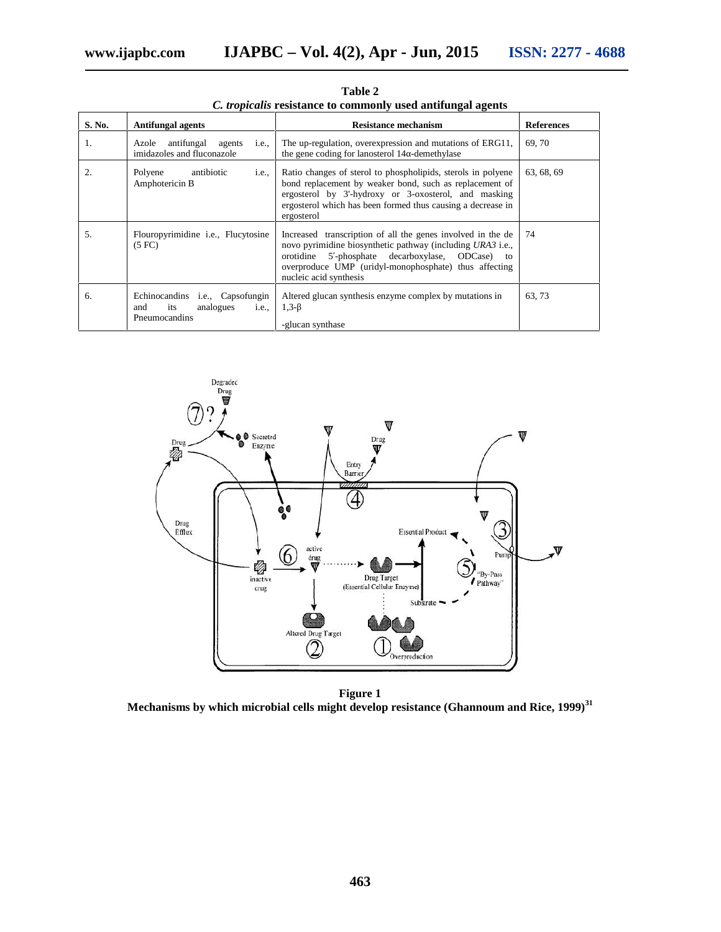| S. No.           | <b>Antifungal agents</b>                                                                     | <b>Resistance mechanism</b>                                                                                                                                                                                                                                        | <b>References</b> |
|------------------|----------------------------------------------------------------------------------------------|--------------------------------------------------------------------------------------------------------------------------------------------------------------------------------------------------------------------------------------------------------------------|-------------------|
| 1.               | antifungal agents<br>Azole<br><i>i.e.</i><br>imidazoles and fluconazole                      | The up-regulation, overexpression and mutations of ERG11,<br>the gene coding for lanosterol 14 -demethylase                                                                                                                                                        | 69.70             |
| $\overline{2}$ . | Polyene<br>antibiotic<br><i>i.e.</i><br>Amphotericin B                                       | Ratio changes of sterol to phospholipids, sterols in polyene<br>bond replacement by weaker bond, such as replacement of<br>ergosterol by 3'-hydroxy or 3-oxosterol, and masking<br>ergosterol which has been formed thus causing a decrease in<br>ergosterol       | 63, 68, 69        |
| $\overline{5}$ . | Flouropyrimidine <i>i.e.</i> , Flucytosine<br>(5 F <sub>C</sub> )                            | Increased transcription of all the genes involved in the de<br>novo pyrimidine biosynthetic pathway (including URA3 i.e.,<br>5-phosphate decarboxylase, ODCase) to<br>orotidine<br>overproduce UMP (uridyl-monophosphate) thus affecting<br>nucleic acid synthesis | 74                |
| 6.               | Echinocandins <i>i.e.</i> , Capsofungin<br>its<br>analogues<br>and<br>i.e.,<br>Pneumocandins | Altered glucan synthesis enzyme complex by mutations in<br>$1,3-$<br>-glucan synthase                                                                                                                                                                              | 63, 73            |

**Table 2** *C. tropicalis* **resistance to commonly used antifungal agents**



**Figure 1 Mechanisms by which microbial cells might develop resistance (Ghannoum and Rice, 1999)<sup>31</sup>**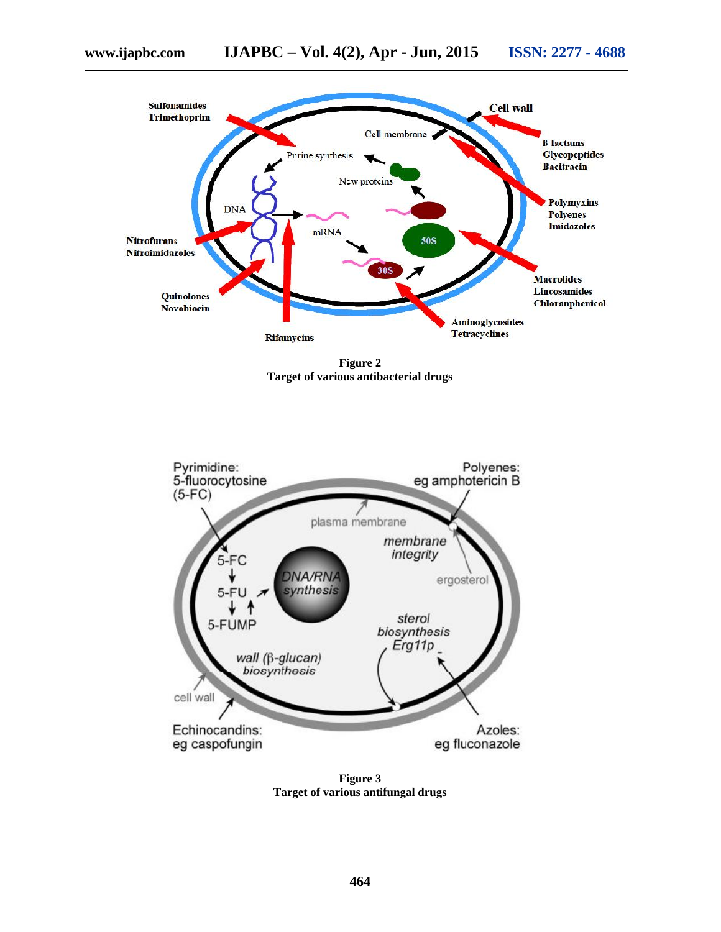

**Figure 2 Target of various antibacterial drugs**



**Figure 3 Target of various antifungal drugs**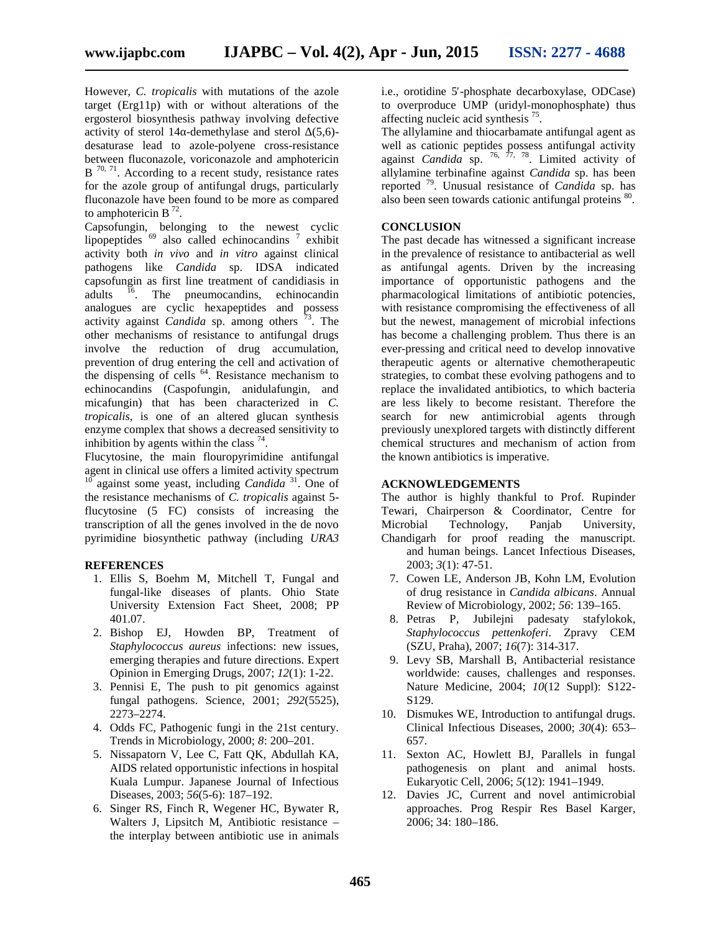However, *C. tropicalis* with mutations of the azole target (Erg11p) with or without alterations of the ergosterol biosynthesis pathway involving defective activity of sterol 14 -demethylase and sterol  $(5,6)$ desaturase lead to azole-polyene cross-resistance between fluconazole, voriconazole and amphotericin  $B<sup>70, 71</sup>$ . According to a recent study, resistance rates for the azole group of antifungal drugs, particularly fluconazole have been found to be more as compared to amphotericin B<sup>72</sup>.

Capsofungin, belonging to the newest cyclic lipopeptides  $69$  also called echinocandins  $\frac{7}{7}$  exhibit activity both *in vivo* and *in vitro* against clinical pathogens like *Candida* sp. IDSA indicated capsofungin as first line treatment of candidiasis in adults <sup>16</sup>. The pneumocandins, echinocandin analogues are cyclic hexapeptides and possess activity against *Candida* sp. among others <sup>73</sup>. The other mechanisms of resistance to antifungal drugs involve the reduction of drug accumulation, prevention of drug entering the cell and activation of the dispensing of cells <sup>64</sup>. Resistance mechanism to echinocandins (Caspofungin, anidulafungin, and micafungin) that has been characterized in *C. tropicalis,* is one of an altered glucan synthesis enzyme complex that shows a decreased sensitivity to inhibition by agents within the class  $74$ .

Flucytosine, the main flouropyrimidine antifungal agent in clinical use offers a limited activity spectrum <sup>10</sup> against some yeast, including *Candida*<sup>31</sup>. One of the resistance mechanisms of *C. tropicalis* against 5 flucytosine (5 FC) consists of increasing the transcription of all the genes involved in the de novo pyrimidine biosynthetic pathway (including *URA3*

#### **REFERENCES**

- 1. Ellis S, Boehm M, Mitchell T, Fungal and fungal-like diseases of plants. Ohio State University Extension Fact Sheet, 2008; PP 401.07.
- 2. Bishop EJ, Howden BP, Treatment of *Staphylococcus aureus* infections: new issues, emerging therapies and future directions. Expert Opinion in Emerging Drugs, 2007; *12*(1): 1-22.
- 3. Pennisi E, The push to pit genomics against fungal pathogens. Science, 2001; *292*(5525), 2273–2274.
- 4. Odds FC, Pathogenic fungi in the 21st century. Trends in Microbiology, 2000; *8*: 200–201.
- 5. Nissapatorn V, Lee C, Fatt QK, Abdullah KA, AIDS related opportunistic infections in hospital Kuala Lumpur. Japanese Journal of Infectious Diseases, 2003; *56*(5-6): 187–192.
- 6. Singer RS, Finch R, Wegener HC, Bywater R, Walters J, Lipsitch M, Antibiotic resistance – the interplay between antibiotic use in animals

i.e., orotidine 5 -phosphate decarboxylase, ODCase) to overproduce UMP (uridyl-monophosphate) thus affecting nucleic acid synthesis<sup>75</sup>.

The allylamine and thiocarbamate antifungal agent as well as cationic peptides possess antifungal activity against *Candida* sp.  $^{76, 77, 78}$ . Limited activity of allylamine terbinafine against *Candida* sp. has been reported <sup>79</sup>. Unusual resistance of *Candida* sp. has also been seen towards cationic antifungal proteins <sup>80</sup>.

#### **CONCLUSION**

The past decade has witnessed a significant increase in the prevalence of resistance to antibacterial as well as antifungal agents. Driven by the increasing importance of opportunistic pathogens and the pharmacological limitations of antibiotic potencies, with resistance compromising the effectiveness of all but the newest, management of microbial infections has become a challenging problem. Thus there is an ever-pressing and critical need to develop innovative therapeutic agents or alternative chemotherapeutic strategies, to combat these evolving pathogens and to replace the invalidated antibiotics, to which bacteria are less likely to become resistant. Therefore the search for new antimicrobial agents through previously unexplored targets with distinctly different chemical structures and mechanism of action from the known antibiotics is imperative.

#### **ACKNOWLEDGEMENTS**

2003; *3*(1): 47-51.

The author is highly thankful to Prof. Rupinder Tewari, Chairperson & Coordinator, Centre for Technology, Panjab University, Chandigarh for proof reading the manuscript. and human beings. Lancet Infectious Diseases,

- 7. Cowen LE, Anderson JB, Kohn LM, Evolution of drug resistance in *Candida albicans*. Annual Review of Microbiology, 2002; *56*: 139–165.
- 8. Petras P, Jubilejni padesaty stafylokok, *Staphylococcus pettenkoferi*. Zpravy CEM (SZU, Praha), 2007; *16*(7): 314-317.
- 9. Levy SB, Marshall B, Antibacterial resistance worldwide: causes, challenges and responses. Nature Medicine, 2004; *10*(12 Suppl): S122- S129.
- 10. Dismukes WE, Introduction to antifungal drugs. Clinical Infectious Diseases, 2000; *30*(4): 653– 657.
- 11. Sexton AC, Howlett BJ, Parallels in fungal pathogenesis on plant and animal hosts. Eukaryotic Cell, 2006; *5*(12): 1941–1949.
- 12. Davies JC, Current and novel antimicrobial approaches. Prog Respir Res Basel Karger, 2006; 34: 180–186.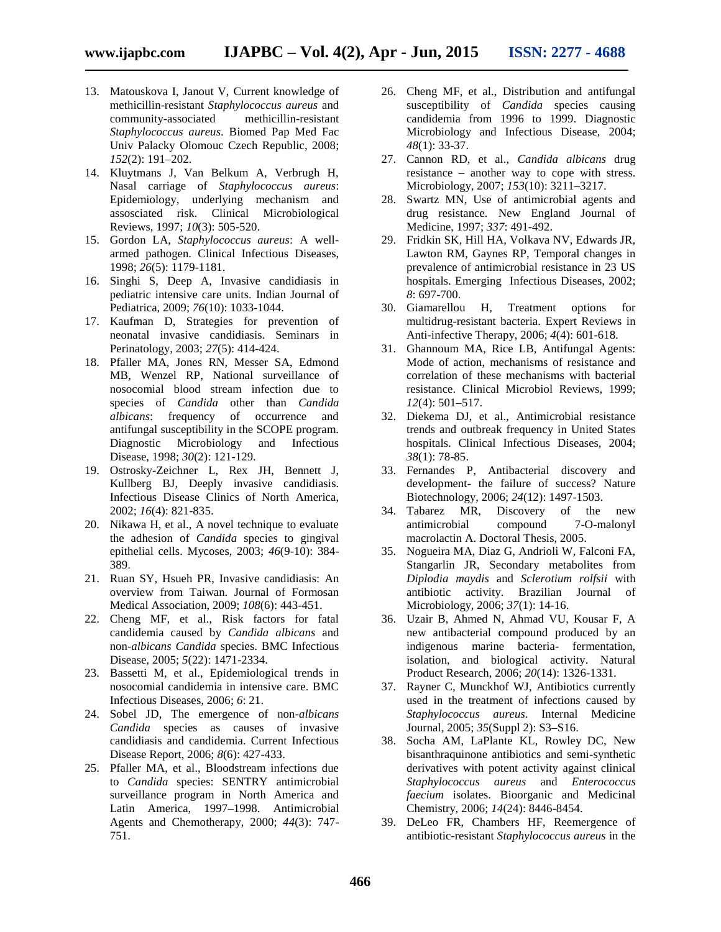- 13. Matouskova I, Janout V, Current knowledge of methicillin-resistant *Staphylococcus aureus* and community-associated methicillin-resistant *Staphylococcus aureus*. Biomed Pap Med Fac Univ Palacky Olomouc Czech Republic, 2008; *152*(2): 191–202.
- 14. Kluytmans J, Van Belkum A, Verbrugh H, Nasal carriage of *Staphylococcus aureus*: Epidemiology, underlying mechanism and assosciated risk. Clinical Microbiological Reviews, 1997; *10*(3): 505-520.
- 15. Gordon LA, *Staphylococcus aureus*: A well armed pathogen. Clinical Infectious Diseases, 1998; *26*(5): 1179-1181.
- 16. Singhi S, Deep A, Invasive candidiasis in pediatric intensive care units. Indian Journal of Pediatrica, 2009; *76*(10): 1033-1044.
- 17. Kaufman D, Strategies for prevention of neonatal invasive candidiasis. Seminars in Perinatology, 2003; *27*(5): 414-424.
- 18. Pfaller MA, Jones RN, Messer SA, Edmond MB, Wenzel RP, National surveillance of nosocomial blood stream infection due to species of *Candida* other than *Candida albicans*: frequency of occurrence and antifungal susceptibility in the SCOPE program. Diagnostic Microbiology and Infectious Disease, 1998; *30*(2): 121-129.
- 19. Ostrosky-Zeichner L, Rex JH, Bennett J, Kullberg BJ, Deeply invasive candidiasis. Infectious Disease Clinics of North America, 2002; *16*(4): 821-835.
- 20. Nikawa H, et al., A novel technique to evaluate the adhesion of *Candida* species to gingival epithelial cells. Mycoses, 2003; *46*(9-10): 384- 389.
- 21. Ruan SY, Hsueh PR, Invasive candidiasis: An overview from Taiwan. Journal of Formosan Medical Association, 2009; *108*(6): 443-451.
- 22. Cheng MF, et al., Risk factors for fatal candidemia caused by *Candida albicans* and non-*albicans Candida* species. BMC Infectious Disease, 2005; *5*(22): 1471-2334.
- 23. Bassetti M, et al., Epidemiological trends in nosocomial candidemia in intensive care. BMC Infectious Diseases, 2006; *6*: 21.
- 24. Sobel JD, The emergence of non-*albicans Candida* species as causes of invasive candidiasis and candidemia. Current Infectious Disease Report, 2006; *8*(6): 427-433.
- 25. Pfaller MA, et al., Bloodstream infections due to *Candida* species: SENTRY antimicrobial surveillance program in North America and Latin America, 1997–1998. Antimicrobial Agents and Chemotherapy, 2000; *44*(3): 747- 751.
- 26. Cheng MF, et al., Distribution and antifungal susceptibility of *Candida* species causing candidemia from 1996 to 1999. Diagnostic Microbiology and Infectious Disease, 2004; *48*(1): 33-37.
- 27. Cannon RD, et al., *Candida albicans* drug resistance – another way to cope with stress. Microbiology, 2007; *153*(10): 3211–3217.
- 28. Swartz MN, Use of antimicrobial agents and drug resistance. New England Journal of Medicine, 1997; *337*: 491-492.
- 29. Fridkin SK, Hill HA, Volkava NV, Edwards JR, Lawton RM, Gaynes RP, Temporal changes in prevalence of antimicrobial resistance in 23 US hospitals. Emerging Infectious Diseases, 2002; *8*: 697-700.
- 30. Giamarellou H, Treatment options for multidrug-resistant bacteria. Expert Reviews in Anti-infective Therapy, 2006; *4*(4): 601-618.
- 31. Ghannoum MA, Rice LB, Antifungal Agents: Mode of action, mechanisms of resistance and correlation of these mechanisms with bacterial resistance. Clinical Microbiol Reviews, 1999; *12*(4): 501–517.
- 32. Diekema DJ, et al., Antimicrobial resistance trends and outbreak frequency in United States hospitals. Clinical Infectious Diseases, 2004; *38*(1): 78-85.
- 33. Fernandes P, Antibacterial discovery and development- the failure of success? Nature Biotechnology, 2006; *24*(12): 1497-1503.
- 34. Tabarez MR, Discovery of the new antimicrobial compound 7-O-malonyl macrolactin A. Doctoral Thesis, 2005.
- 35. Nogueira MA, Diaz G, Andrioli W, Falconi FA, Stangarlin JR, Secondary metabolites from *Diplodia maydis* and *Sclerotium rolfsii* with antibiotic activity. Brazilian Journal of Microbiology, 2006; *37*(1): 14-16.
- 36. Uzair B, Ahmed N, Ahmad VU, Kousar F, A new antibacterial compound produced by an indigenous marine bacteria- fermentation, isolation, and biological activity. Natural Product Research, 2006; *20*(14): 1326-1331.
- 37. Rayner C, Munckhof WJ, Antibiotics currently used in the treatment of infections caused by *Staphylococcus aureus*. Internal Medicine Journal, 2005; *35*(Suppl 2): S3–S16.
- 38. Socha AM, LaPlante KL, Rowley DC, New bisanthraquinone antibiotics and semi-synthetic derivatives with potent activity against clinical *Staphylococcus aureus* and *Enterococcus faecium* isolates. Bioorganic and Medicinal Chemistry, 2006; *14*(24): 8446-8454.
- 39. DeLeo FR, Chambers HF, Reemergence of antibiotic-resistant *Staphylococcus aureus* in the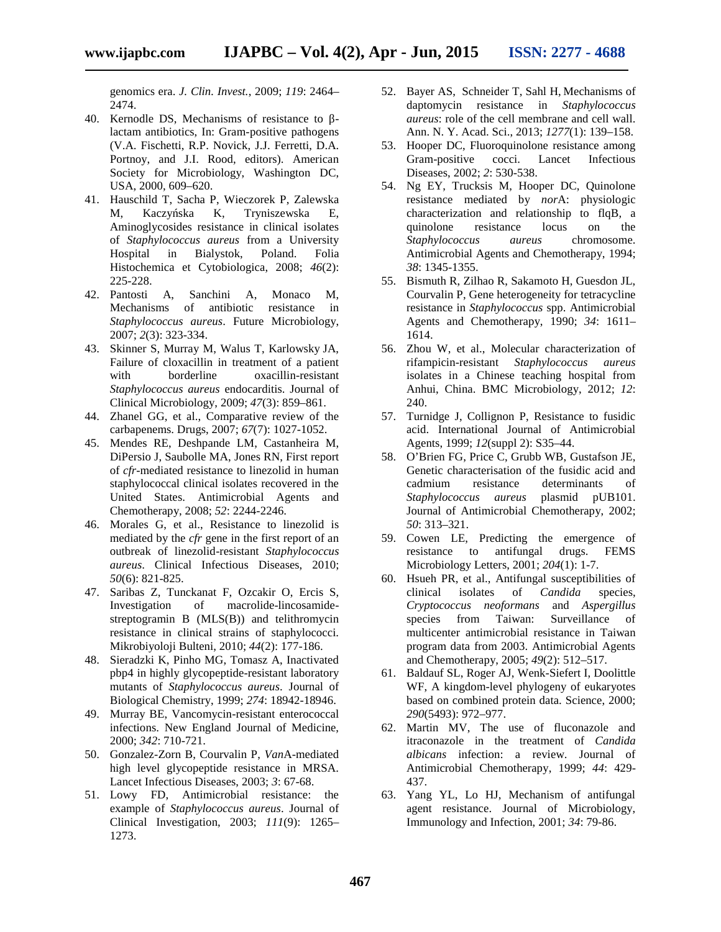genomics era. *J. Clin. Invest.*, 2009; *119*: 2464– 2474.

- 40. Kernodle DS, Mechanisms of resistance to lactam antibiotics, In: Gram-positive pathogens (V.A. Fischetti, R.P. Novick, J.J. Ferretti, D.A. Portnoy, and J.I. Rood, editors). American Society for Microbiology, Washington DC, USA, 2000, 609–620.
- 41. Hauschild T, Sacha P, Wieczorek P, Zalewska M, Kaczyska K, Tryniszewska E, Aminoglycosides resistance in clinical isolates of *Staphylococcus aureus* from a University Hospital in Bialystok, Poland. Folia Histochemica et Cytobiologica, 2008; *46*(2): 225-228.
- 42. Pantosti A, Sanchini A, Monaco M, Mechanisms of antibiotic resistance in *Staphylococcus aureus*. Future Microbiology, 2007; *2*(3): 323-334.
- 43. Skinner S, Murray M, Walus T, Karlowsky JA, Failure of cloxacillin in treatment of a patient with borderline oxacillin-resistant *Staphylococcus aureus* endocarditis. Journal of Clinical Microbiology, 2009; *47*(3): 859–861.
- 44. Zhanel GG, et al., Comparative review of the carbapenems. Drugs, 2007; *67*(7): 1027-1052.
- 45. Mendes RE, Deshpande LM, Castanheira M, DiPersio J, Saubolle MA, Jones RN, First report of *cfr*-mediated resistance to linezolid in human staphylococcal clinical isolates recovered in the United States. Antimicrobial Agents and Chemotherapy, 2008; *52*: 2244*-*2246*.*
- 46. Morales G, et al., Resistance to linezolid is mediated by the *cfr* gene in the first report of an outbreak of linezolid-resistant *Staphylococcus aureus*. Clinical Infectious Diseases, 2010; *50*(6): 821-825.
- 47. Saribas Z, Tunckanat F, Ozcakir O, Ercis S, Investigation of macrolide-lincosamide streptogramin B (MLS(B)) and telithromycin resistance in clinical strains of staphylococci. Mikrobiyoloji Bulteni, 2010; *44*(2): 177-186.
- 48. Sieradzki K, Pinho MG, Tomasz A, Inactivated pbp4 in highly glycopeptide-resistant laboratory mutants of *Staphylococcus aureus*. Journal of Biological Chemistry, 1999; *274*: 18942-18946.
- 49. Murray BE, Vancomycin-resistant enterococcal infections. New England Journal of Medicine, 2000; *342*: 710-721.
- 50. Gonzalez-Zorn B, Courvalin P, *Van*A-mediated high level glycopeptide resistance in MRSA. Lancet Infectious Diseases, 2003; *3*: 67-68.
- 51. Lowy FD, Antimicrobial resistance: the example of *Staphylococcus aureus*. Journal of Clinical Investigation, 2003; *111*(9): 1265– 1273.
- 52. Bayer AS, Schneider T, Sahl H, Mechanisms of daptomycin resistance in *Staphylococcus aureus*: role of the cell membrane and cell wall. Ann. N. Y. Acad. Sci., 2013; *1277*(1): 139–158.
- 53. Hooper DC, Fluoroquinolone resistance among Gram-positive cocci. Lancet Infectious Diseases, 2002; *2*: 530-538.
- 54. Ng EY, Trucksis M, Hooper DC, Quinolone resistance mediated by *nor*A: physiologic characterization and relationship to flqB, a quinolone resistance locus on the *Staphylococcus aureus* chromosome. Antimicrobial Agents and Chemotherapy, 1994; *38*: 1345-1355.
- 55. Bismuth R, Zilhao R, Sakamoto H, Guesdon JL, Courvalin P, Gene heterogeneity for tetracycline resistance in *Staphylococcus* spp. Antimicrobial Agents and Chemotherapy, 1990; *34*: 1611*–* 1614.
- 56. Zhou W, et al., Molecular characterization of rifampicin-resistant *Staphylococcus aureus* isolates in a Chinese teaching hospital from Anhui, China. BMC Microbiology, 2012; *12*: 240.
- 57. Turnidge J, Collignon P, Resistance to fusidic acid. International Journal of Antimicrobial Agents, 1999; *12*(suppl 2): S35–44.
- 58. O'Brien FG, Price C, Grubb WB, Gustafson JE, Genetic characterisation of the fusidic acid and cadmium resistance determinants of *Staphylococcus aureus* plasmid pUB101. Journal of Antimicrobial Chemotherapy, 2002; *50*: 313–321.
- 59. Cowen LE, Predicting the emergence of resistance to antifungal drugs. FEMS Microbiology Letters, 2001; *204*(1): 1-7.
- 60. Hsueh PR, et al., Antifungal susceptibilities of clinical isolates of *Candida* species, *Cryptococcus neoformans* and *Aspergillus* species from Taiwan: Surveillance of multicenter antimicrobial resistance in Taiwan program data from 2003. Antimicrobial Agents and Chemotherapy, 2005; *49*(2): 512–517.
- 61. Baldauf SL, Roger AJ, Wenk-Siefert I, Doolittle WF, A kingdom-level phylogeny of eukaryotes based on combined protein data. Science, 2000; *290*(5493): 972–977.
- 62. Martin MV, The use of fluconazole and itraconazole in the treatment of *Candida albicans* infection: a review. Journal of Antimicrobial Chemotherapy, 1999; *44*: 429- 437.
- 63. Yang YL, Lo HJ, Mechanism of antifungal agent resistance. Journal of Microbiology, Immunology and Infection, 2001; *34*: 79-86.